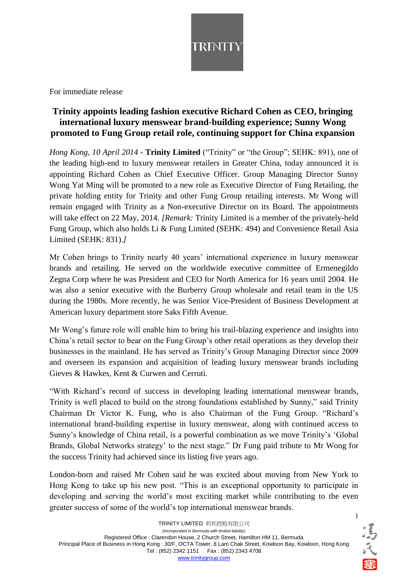

For immediate release

## **Trinity appoints leading fashion executive Richard Cohen as CEO, bringing international luxury menswear brand-building experience; Sunny Wong promoted to Fung Group retail role, continuing support for China expansion**

*Hong Kong, 10 April 2014* - **Trinity Limited** ("Trinity" or "the Group"; SEHK: 891), one of the leading high-end to luxury menswear retailers in Greater China, today announced it is appointing Richard Cohen as Chief Executive Officer. Group Managing Director Sunny Wong Yat Ming will be promoted to a new role as Executive Director of Fung Retailing, the private holding entity for Trinity and other Fung Group retailing interests. Mr Wong will remain engaged with Trinity as a Non-executive Director on its Board. The appointments will take effect on 22 May, 2014. *[Remark:* Trinity Limited is a member of the privately-held Fung Group, which also holds Li & Fung Limited (SEHK: 494) and Convenience Retail Asia Limited (SEHK: 831).*]*

Mr Cohen brings to Trinity nearly 40 years' international experience in luxury menswear brands and retailing. He served on the worldwide executive committee of Ermenegildo Zegna Corp where he was President and CEO for North America for 16 years until 2004. He was also a senior executive with the Burberry Group wholesale and retail team in the US during the 1980s. More recently, he was Senior Vice-President of Business Development at American luxury department store Saks Fifth Avenue.

Mr Wong's future role will enable him to bring his trail-blazing experience and insights into China's retail sector to bear on the Fung Group's other retail operations as they develop their businesses in the mainland. He has served as Trinity's Group Managing Director since 2009 and overseen its expansion and acquisition of leading luxury menswear brands including Gieves & Hawkes, Kent & Curwen and Cerruti.

"With Richard's record of success in developing leading international menswear brands, Trinity is well placed to build on the strong foundations established by Sunny," said Trinity Chairman Dr Victor K. Fung, who is also Chairman of the Fung Group. "Richard's international brand-building expertise in luxury menswear, along with continued access to Sunny's knowledge of China retail, is a powerful combination as we move Trinity's 'Global Brands, Global Networks strategy' to the next stage." Dr Fung paid tribute to Mr Wong for the success Trinity had achieved since its listing five years ago.

London-born and raised Mr Cohen said he was excited about moving from New York to Hong Kong to take up his new post. "This is an exceptional opportunity to participate in developing and serving the world's most exciting market while contributing to the even greater success of some of the world's top international menswear brands.

1 馮氏